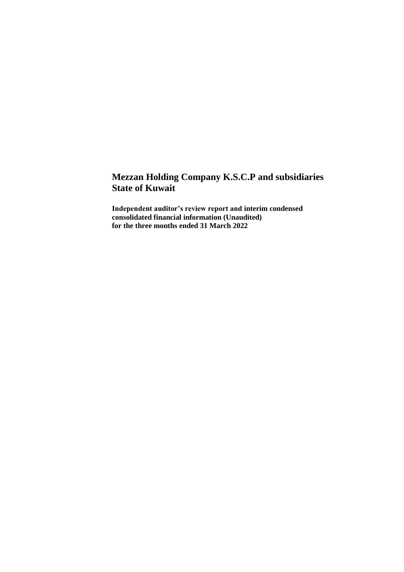**Independent auditor's review report and interim condensed consolidated financial information (Unaudited) for the three months ended 31 March 2022**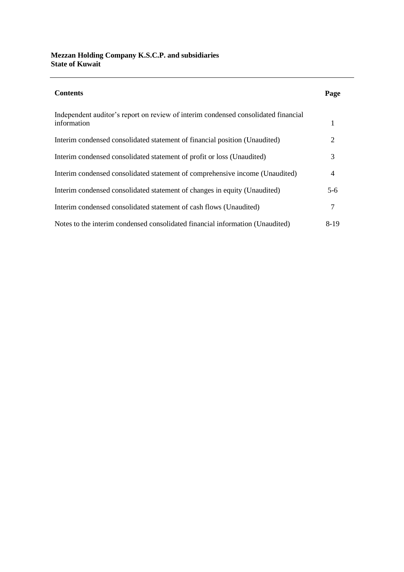| <b>Contents</b>                                                                                   | Page |
|---------------------------------------------------------------------------------------------------|------|
| Independent auditor's report on review of interim condensed consolidated financial<br>information |      |
| Interim condensed consolidated statement of financial position (Unaudited)                        | 2    |
| Interim condensed consolidated statement of profit or loss (Unaudited)                            | 3    |
| Interim condensed consolidated statement of comprehensive income (Unaudited)                      | 4    |
| Interim condensed consolidated statement of changes in equity (Unaudited)                         | 5-6  |
| Interim condensed consolidated statement of cash flows (Unaudited)                                | 7    |
| Notes to the interim condensed consolidated financial information (Unaudited)                     | 8-19 |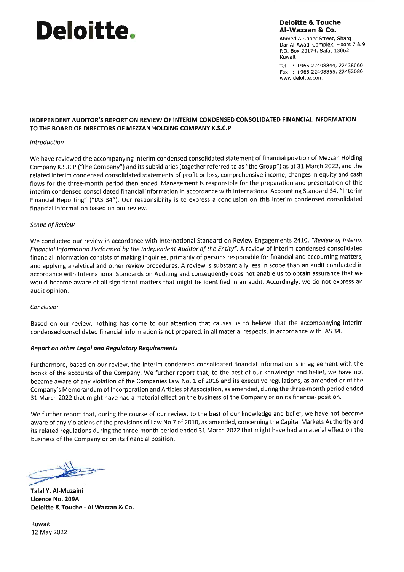# **Deloitte.**

**Deloitte & Touche** Al-Wazzan & Co.

Ahmed Al-Jaber Street, Sharq Dar Al-Awadi Complex, Floors 7 & 9 P.O. Box 20174, Safat 13062 Kuwait

Tel : +965 22408844, 22438060 Fax: +965 22408855, 22452080 www.deloitte.com

#### INDEPENDENT AUDITOR'S REPORT ON REVIEW OF INTERIM CONDENSED CONSOLIDATED FINANCIAL INFORMATION TO THE BOARD OF DIRECTORS OF MEZZAN HOLDING COMPANY K.S.C.P

#### **Introduction**

We have reviewed the accompanying interim condensed consolidated statement of financial position of Mezzan Holding Company K.S.C.P ("the Company") and its subsidiaries (together referred to as "the Group") as at 31 March 2022, and the related interim condensed consolidated statements of profit or loss, comprehensive income, changes in equity and cash flows for the three-month period then ended. Management is responsible for the preparation and presentation of this interim condensed consolidated financial information in accordance with International Accounting Standard 34, "Interim Financial Reporting" ("IAS 34"). Our responsibility is to express a conclusion on this interim condensed consolidated financial information based on our review.

#### Scope of Review

We conducted our review in accordance with International Standard on Review Engagements 2410, "Review of Interim Financial Information Performed by the Independent Auditor of the Entity". A review of interim condensed consolidated financial information consists of making inquiries, primarily of persons responsible for financial and accounting matters, and applying analytical and other review procedures. A review is substantially less in scope than an audit conducted in accordance with International Standards on Auditing and consequently does not enable us to obtain assurance that we would become aware of all significant matters that might be identified in an audit. Accordingly, we do not express an audit opinion.

#### Conclusion

Based on our review, nothing has come to our attention that causes us to believe that the accompanying interim condensed consolidated financial information is not prepared, in all material respects, in accordance with IAS 34.

#### **Report on other Legal and Regulatory Requirements**

Furthermore, based on our review, the interim condensed consolidated financial information is in agreement with the books of the accounts of the Company. We further report that, to the best of our knowledge and belief, we have not become aware of any violation of the Companies Law No. 1 of 2016 and its executive regulations, as amended or of the Company's Memorandum of Incorporation and Articles of Association, as amended, during the three-month period ended 31 March 2022 that might have had a material effect on the business of the Company or on its financial position.

We further report that, during the course of our review, to the best of our knowledge and belief, we have not become aware of any violations of the provisions of Law No 7 of 2010, as amended, concerning the Capital Markets Authority and its related regulations during the three-month period ended 31 March 2022 that might have had a material effect on the business of the Company or on its financial position.

**Talal Y. Al-Muzaini** Licence No. 209A Deloitte & Touche - Al Wazzan & Co.

Kuwait 12 May 2022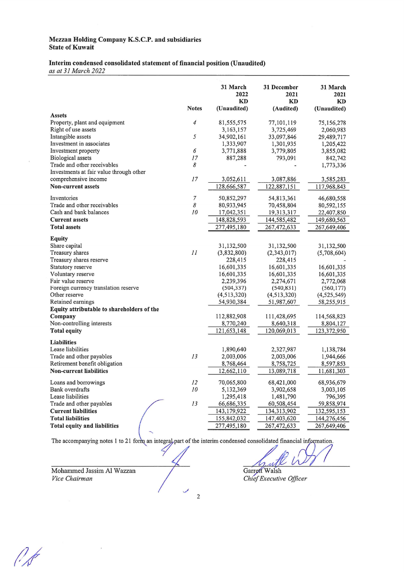#### Interim condensed consolidated statement of financial position (Unaudited)

as at 31 March 2022

|                                            | <b>Notes</b>   | 31 March<br>2022<br><b>KD</b><br>(Unaudited) | 31 December<br>2021<br><b>KD</b><br>(Audited) | 31 March<br>2021<br><b>KD</b><br>(Unaudited) |
|--------------------------------------------|----------------|----------------------------------------------|-----------------------------------------------|----------------------------------------------|
| <b>Assets</b>                              |                |                                              |                                               |                                              |
| Property, plant and equipment              | 4              | 81,555,575                                   | 77, 101, 119                                  | 75,156,278                                   |
| Right of use assets                        |                | 3,163,157                                    | 3,725,469                                     | 2,060,983                                    |
| Intangible assets                          | 5              | 34,902,161                                   | 33,097,846                                    | 29,489,717                                   |
| Investment in associates                   |                | 1,333,907                                    | 1,301,935                                     | 1,205,422                                    |
| Investment property                        | 6              | 3,771,888                                    | 3,779,805                                     | 3,855,082                                    |
| Biological assets                          | 17             | 887,288                                      | 793,091                                       | 842,742                                      |
| Trade and other receivables                | 8              |                                              |                                               | 1,773,336                                    |
| Investments at fair value through other    |                |                                              |                                               |                                              |
| comprehensive income                       | 17             | 3,052,611                                    | 3,087,886                                     | 3,585,283                                    |
| <b>Non-current assets</b>                  |                | 128,666,587                                  | 122,887,151                                   | 117,968,843                                  |
|                                            |                |                                              |                                               |                                              |
| Inventories                                | $\overline{7}$ | 50,852,297                                   | 54,813,361                                    | 46,680,558                                   |
| Trade and other receivables                | 8              | 80,933,945                                   | 70,458,804                                    | 80,592,155                                   |
| Cash and bank balances                     | 10             | 17,042,351                                   | 19,313,317                                    | 22,407,850                                   |
| <b>Current assets</b>                      |                | 148,828,593                                  | 144,585,482                                   | 149,680,563                                  |
| <b>Total assets</b>                        |                | 277,495,180                                  | 267,472,633                                   | 267,649,406                                  |
| <b>Equity</b>                              |                |                                              |                                               |                                              |
| Share capital                              |                | 31,132,500                                   | 31,132,500                                    | 31,132,500                                   |
| Treasury shares                            | 11             | (3,832,800)                                  | (2,343,017)                                   | (5,708,604)                                  |
| Treasury shares reserve                    |                | 228,415                                      | 228,415                                       |                                              |
| Statutory reserve                          |                | 16,601,335                                   | 16,601,335                                    | 16,601,335                                   |
| Voluntary reserve                          |                | 16,601,335                                   | 16,601,335                                    | 16,601,335                                   |
| Fair value reserve                         |                | 2,239,396                                    | 2,274,671                                     | 2,772,068                                    |
| Foreign currency translation reserve       |                | (504, 337)                                   | (540, 831)                                    | (560, 177)                                   |
| Other reserve                              |                | (4,513,320)                                  | (4, 513, 320)                                 | (4, 525, 549)                                |
| Retained earnings                          |                | 54,930,384                                   | 51,987,607                                    | 58,255,915                                   |
| Equity attributable to shareholders of the |                |                                              |                                               |                                              |
| Company                                    |                | 112,882,908                                  | 111,428,695                                   | 114,568,823                                  |
| Non-controlling interests                  |                | 8,770,240                                    | 8,640,318                                     | 8,804,127                                    |
| <b>Total equity</b>                        |                | 121,653,148                                  | 120,069,013                                   | 123,372,950                                  |
|                                            |                |                                              |                                               |                                              |
| <b>Liabilities</b>                         |                |                                              |                                               |                                              |
| Lease liabilities                          |                | 1,890,640                                    | 2,327,987                                     | 1,138,784                                    |
| Trade and other payables                   | 13             | 2,003,006                                    | 2,003,006                                     | 1,944,666                                    |
| Retirement benefit obligation              |                | 8,768,464                                    | 8,758,725                                     | 8,597,853                                    |
| <b>Non-current liabilities</b>             |                | 12,662,110                                   | 13,089,718                                    | 11,681,303                                   |
| Loans and borrowings                       | 12             | 70,065,800                                   | 68,421,000                                    | 68,936,679                                   |
| Bank overdrafts                            | 10             | 5,132,369                                    | 3,902,658                                     | 3,003,105                                    |
| Lease liabilities                          |                | 1,295,418                                    | 1,481,790                                     | 796,395                                      |
| Trade and other payables                   | 13             | 66,686,335                                   | 60,508,454                                    | 59,858,974                                   |
| <b>Current liabilities</b>                 |                | 143,179,922                                  | 134,313,902                                   | 132,595,153                                  |
| <b>Total liabilities</b>                   |                | 155,842,032                                  | 147,403,620                                   | 144,276,456                                  |
|                                            |                |                                              |                                               |                                              |
| <b>Total equity and liabilities</b>        |                | 277,495,180                                  | 267,472,633                                   | 267,649,406                                  |

The accompanying notes 1 to 21 form an integral part of the interim condensed consolidated financial information.

 $\overline{c}$ 

 $\leq$ 

Mohammed Jassim Al Wazzan Vice Chairman

Garrett Walsh<br>Chief Executive Officer

O.F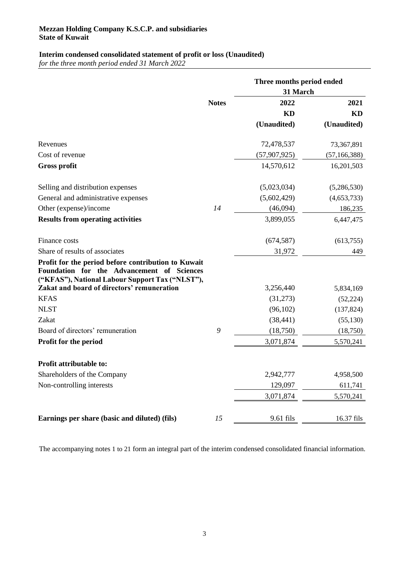#### **Interim condensed consolidated statement of profit or loss (Unaudited)**

*for the three month period ended 31 March 2022*

|                                                                                                                                                      | <b>Notes</b> | Three months period ended<br>31 March |                |  |  |
|------------------------------------------------------------------------------------------------------------------------------------------------------|--------------|---------------------------------------|----------------|--|--|
|                                                                                                                                                      |              | 2022                                  | 2021           |  |  |
|                                                                                                                                                      |              | KD                                    | KD             |  |  |
|                                                                                                                                                      |              | (Unaudited)                           | (Unaudited)    |  |  |
| Revenues                                                                                                                                             |              | 72,478,537                            | 73,367,891     |  |  |
| Cost of revenue                                                                                                                                      |              | (57, 907, 925)                        | (57, 166, 388) |  |  |
| <b>Gross profit</b>                                                                                                                                  |              | 14,570,612                            | 16,201,503     |  |  |
| Selling and distribution expenses                                                                                                                    |              | (5,023,034)                           | (5,286,530)    |  |  |
| General and administrative expenses                                                                                                                  |              | (5,602,429)                           | (4,653,733)    |  |  |
| Other (expense)/income                                                                                                                               | 14           | (46,094)                              | 186,235        |  |  |
| <b>Results from operating activities</b>                                                                                                             |              | 3,899,055                             | 6,447,475      |  |  |
| Finance costs                                                                                                                                        |              | (674, 587)                            | (613,755)      |  |  |
| Share of results of associates                                                                                                                       |              | 31,972                                | 449            |  |  |
| Profit for the period before contribution to Kuwait<br>Foundation for the Advancement of Sciences<br>("KFAS"), National Labour Support Tax ("NLST"), |              |                                       |                |  |  |
| Zakat and board of directors' remuneration                                                                                                           |              | 3,256,440                             | 5,834,169      |  |  |
| <b>KFAS</b>                                                                                                                                          |              | (31,273)                              | (52, 224)      |  |  |
| <b>NLST</b>                                                                                                                                          |              | (96, 102)                             | (137, 824)     |  |  |
| Zakat                                                                                                                                                |              | (38, 441)                             | (55, 130)      |  |  |
| Board of directors' remuneration                                                                                                                     | 9            | (18,750)                              | (18,750)       |  |  |
| Profit for the period                                                                                                                                |              | 3,071,874                             | 5,570,241      |  |  |
| <b>Profit attributable to:</b>                                                                                                                       |              |                                       |                |  |  |
| Shareholders of the Company                                                                                                                          |              | 2,942,777                             | 4,958,500      |  |  |
| Non-controlling interests                                                                                                                            |              | 129,097                               | 611,741        |  |  |
|                                                                                                                                                      |              | 3,071,874                             | 5,570,241      |  |  |
| Earnings per share (basic and diluted) (fils)                                                                                                        | 15           | $9.61$ fils                           | 16.37 fils     |  |  |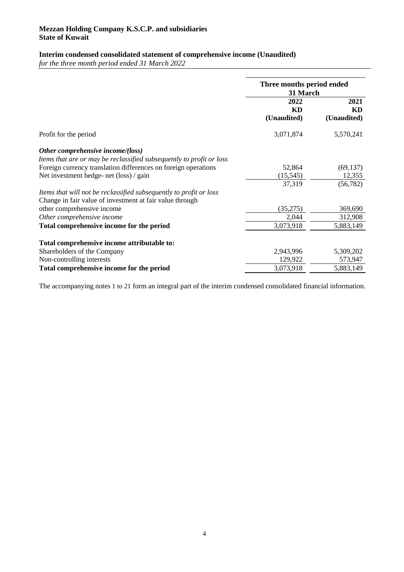#### **Interim condensed consolidated statement of comprehensive income (Unaudited)**

*for the three month period ended 31 March 2022*

|                                                                                                                                | Three months period ended<br>31 March |                                  |  |  |
|--------------------------------------------------------------------------------------------------------------------------------|---------------------------------------|----------------------------------|--|--|
|                                                                                                                                | 2022<br>KD<br>(Unaudited)             | 2021<br><b>KD</b><br>(Unaudited) |  |  |
| Profit for the period                                                                                                          | 3,071,874                             | 5,570,241                        |  |  |
| Other comprehensive income/(loss)<br>Items that are or may be reclassified subsequently to profit or loss                      |                                       |                                  |  |  |
| Foreign currency translation differences on foreign operations                                                                 | 52,864                                | (69, 137)                        |  |  |
| Net investment hedge- net (loss) / gain                                                                                        | (15, 545)                             | 12,355                           |  |  |
|                                                                                                                                | 37,319                                | (56, 782)                        |  |  |
| Items that will not be reclassified subsequently to profit or loss<br>Change in fair value of investment at fair value through |                                       |                                  |  |  |
| other comprehensive income                                                                                                     | (35,275)                              | 369,690                          |  |  |
| Other comprehensive income                                                                                                     | 2,044                                 | 312,908                          |  |  |
| Total comprehensive income for the period                                                                                      | 3,073,918                             | 5,883,149                        |  |  |
| Total comprehensive income attributable to:                                                                                    |                                       |                                  |  |  |
| Shareholders of the Company                                                                                                    | 2,943,996                             | 5,309,202                        |  |  |
| Non-controlling interests                                                                                                      | 129,922                               | 573,947                          |  |  |
| Total comprehensive income for the period                                                                                      | 3,073,918                             | 5,883,149                        |  |  |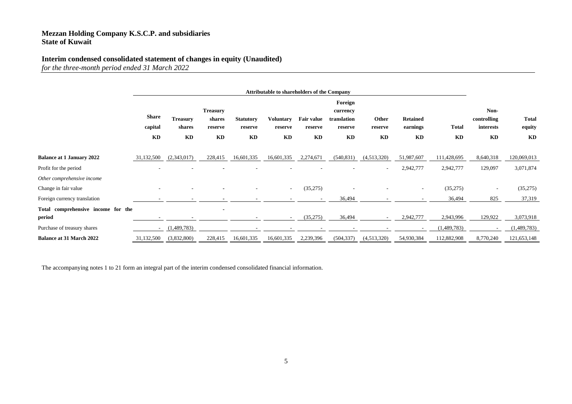# **Interim condensed consolidated statement of changes in equity (Unaudited)**

*for the three-month period ended 31 March 2022*

|                                              | <b>Attributable to shareholders of the Company</b> |                           |                                      |                             |                             |                              |                                               |                  |                             |              |                                  |                        |
|----------------------------------------------|----------------------------------------------------|---------------------------|--------------------------------------|-----------------------------|-----------------------------|------------------------------|-----------------------------------------------|------------------|-----------------------------|--------------|----------------------------------|------------------------|
|                                              | <b>Share</b><br>capital                            | <b>Treasury</b><br>shares | <b>Treasury</b><br>shares<br>reserve | <b>Statutory</b><br>reserve | <b>Voluntary</b><br>reserve | <b>Fair value</b><br>reserve | Foreign<br>currency<br>translation<br>reserve | Other<br>reserve | <b>Retained</b><br>earnings | <b>Total</b> | Non-<br>controlling<br>interests | <b>Total</b><br>equity |
|                                              | KD                                                 | KD                        | KD                                   | KD                          | KD                          | KD                           | KD                                            | KD               | KD                          | KD           | KD                               | KD                     |
| <b>Balance at 1 January 2022</b>             | 31,132,500                                         | (2,343,017)               | 228,415                              | 16,601,335                  | 16,601,335                  | 2,274,671                    | (540, 831)                                    | (4,513,320)      | 51,987,607                  | 111,428,695  | 8,640,318                        | 120,069,013            |
| Profit for the period                        |                                                    |                           |                                      |                             |                             |                              |                                               | $\sim$           | 2,942,777                   | 2,942,777    | 129,097                          | 3,071,874              |
| Other comprehensive income                   |                                                    |                           |                                      |                             |                             |                              |                                               |                  |                             |              |                                  |                        |
| Change in fair value                         |                                                    |                           |                                      |                             | $\overline{\phantom{a}}$    | (35,275)                     |                                               |                  | $\sim$                      | (35,275)     | $\overline{\phantom{a}}$         | (35,275)               |
| Foreign currency translation                 |                                                    |                           |                                      |                             |                             |                              | 36,494                                        |                  |                             | 36,494       | 825                              | 37,319                 |
| Total comprehensive income for the<br>period |                                                    |                           |                                      |                             |                             | (35,275)                     | 36,494                                        |                  | 2,942,777                   | 2,943,996    | 129,922                          | 3,073,918              |
| Purchase of treasury shares                  | $\sim$                                             | (1,489,783)               |                                      |                             |                             |                              |                                               |                  | $\sim$                      | (1,489,783)  | $\overline{\phantom{a}}$         | (1,489,783)            |
| <b>Balance at 31 March 2022</b>              | 31,132,500                                         | (3,832,800)               | 228,415                              | 16,601,335                  | 16,601,335                  | 2,239,396                    | (504, 337)                                    | (4,513,320)      | 54,930,384                  | 112,882,908  | 8,770,240                        | 121,653,148            |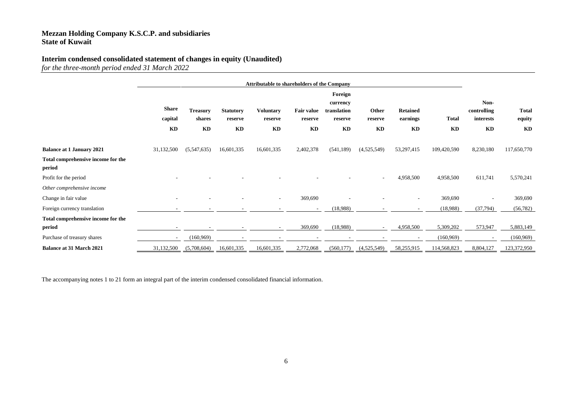# **Interim condensed consolidated statement of changes in equity (Unaudited)**

*for the three-month period ended 31 March 2022*

|                                              | <b>Attributable to shareholders of the Company</b> |                                 |                                   |                                   |                                    |                                                     |                        |                                   |                    |                                        |                              |
|----------------------------------------------|----------------------------------------------------|---------------------------------|-----------------------------------|-----------------------------------|------------------------------------|-----------------------------------------------------|------------------------|-----------------------------------|--------------------|----------------------------------------|------------------------------|
|                                              | <b>Share</b><br>capital<br>KD                      | <b>Treasury</b><br>shares<br>KD | <b>Statutory</b><br>reserve<br>KD | <b>Voluntary</b><br>reserve<br>KD | <b>Fair value</b><br>reserve<br>KD | Foreign<br>currency<br>translation<br>reserve<br>KD | Other<br>reserve<br>KD | <b>Retained</b><br>earnings<br>KD | <b>Total</b><br>KD | Non-<br>controlling<br>interests<br>KD | <b>Total</b><br>equity<br>KD |
|                                              |                                                    |                                 |                                   |                                   |                                    |                                                     |                        |                                   |                    |                                        |                              |
| <b>Balance at 1 January 2021</b>             | 31,132,500                                         | (5,547,635)                     | 16,601,335                        | 16,601,335                        | 2,402,378                          | (541, 189)                                          | (4,525,549)            | 53,297,415                        | 109,420,590        | 8,230,180                              | 117,650,770                  |
| Total comprehensive income for the<br>period |                                                    |                                 |                                   |                                   |                                    |                                                     |                        |                                   |                    |                                        |                              |
| Profit for the period                        |                                                    |                                 |                                   |                                   |                                    |                                                     |                        | 4,958,500                         | 4,958,500          | 611,741                                | 5,570,241                    |
| Other comprehensive income                   |                                                    |                                 |                                   |                                   |                                    |                                                     |                        |                                   |                    |                                        |                              |
| Change in fair value                         |                                                    |                                 |                                   | $\overline{\phantom{a}}$          | 369,690                            |                                                     |                        | ۰                                 | 369,690            | $\overline{\phantom{a}}$               | 369,690                      |
| Foreign currency translation                 |                                                    |                                 |                                   |                                   |                                    | (18,988)                                            |                        |                                   | (18,988)           | (37,794)                               | (56, 782)                    |
| Total comprehensive income for the           |                                                    |                                 |                                   |                                   |                                    |                                                     |                        |                                   |                    |                                        |                              |
| period                                       |                                                    |                                 |                                   |                                   | 369,690                            | (18,988)                                            |                        | 4,958,500                         | 5,309,202          | 573,947                                | 5,883,149                    |
| Purchase of treasury shares                  |                                                    | (160, 969)                      |                                   |                                   |                                    |                                                     |                        |                                   | (160, 969)         |                                        | (160, 969)                   |
| <b>Balance at 31 March 2021</b>              | 31,132,500                                         | (5,708,604)                     | 16,601,335                        | 16,601,335                        | 2,772,068                          | (560, 177)                                          | (4,525,549)            | 58,255,915                        | 114,568,823        | 8,804,127                              | 123,372,950                  |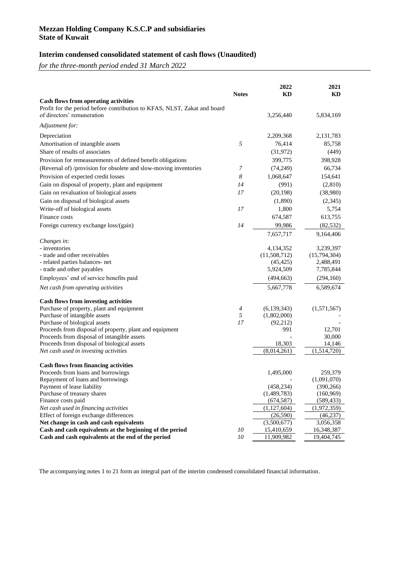## **Interim condensed consolidated statement of cash flows (Unaudited)**

*for the three-month period ended 31 March 2022*

|                                                                                                        | <b>Notes</b> | 2022<br><b>KD</b>        | 2021<br><b>KD</b>      |
|--------------------------------------------------------------------------------------------------------|--------------|--------------------------|------------------------|
| <b>Cash flows from operating activities</b>                                                            |              |                          |                        |
| Profit for the period before contribution to KFAS, NLST, Zakat and board<br>of directors' remuneration |              | 3,256,440                | 5,834,169              |
| Adjustment for:                                                                                        |              |                          |                        |
| Depreciation                                                                                           |              | 2,209,368                | 2,131,783              |
| Amortisation of intangible assets                                                                      | 5            | 76,414                   | 85,758                 |
| Share of results of associates                                                                         |              | (31, 972)                | (449)                  |
| Provision for remeasurements of defined benefit obligations                                            |              | 399,775                  | 398,928                |
| (Reversal of) /provision for obsolete and slow-moving inventories                                      | 7            | (74,249)                 | 66,734                 |
| Provision of expected credit losses                                                                    | 8            | 1,068,647                | 154,641                |
| Gain on disposal of property, plant and equipment                                                      | 14           | (991)                    | (2,810)                |
| Gain on revaluation of biological assets                                                               | 17           | (20, 198)                | (38,980)               |
| Gain on disposal of biological assets                                                                  |              | (1,890)                  | (2,345)                |
| Write-off of biological assets                                                                         | 17           | 1,800                    | 5,754                  |
| Finance costs                                                                                          |              | 674,587                  | 613,755                |
| Foreign currency exchange loss/(gain)                                                                  | 14           | 99,986                   | (82, 532)              |
|                                                                                                        |              | 7,657,717                | 9,164,406              |
| Changes in:                                                                                            |              |                          |                        |
| - inventories                                                                                          |              | 4,134,352                | 3,239,397              |
| - trade and other receivables                                                                          |              | (11,508,712)             | (15,794,304)           |
| - related parties balances- net                                                                        |              | (45, 425)                | 2,488,491              |
| - trade and other payables                                                                             |              | 5,924,509                | 7,785,844              |
| Employees' end of service benefits paid                                                                |              | (494, 663)               | (294, 160)             |
| Net cash from operating activities                                                                     |              | 5,667,778                | 6,589,674              |
| <b>Cash flows from investing activities</b>                                                            |              |                          |                        |
| Purchase of property, plant and equipment                                                              | 4            | (6, 139, 343)            | (1,571,567)            |
| Purchase of intangible assets                                                                          | 5            | (1,802,000)              |                        |
| Purchase of biological assets                                                                          | 17           | (92,212)                 |                        |
| Proceeds from disposal of property, plant and equipment                                                |              | 991                      | 12,701                 |
| Proceeds from disposal of intangible assets<br>Proceeds from disposal of biological assets             |              | 18,303                   | 30,000<br>14,146       |
| Net cash used in investing activities                                                                  |              | (8,014,261)              | (1,514,720)            |
|                                                                                                        |              |                          |                        |
| <b>Cash flows from financing activities</b>                                                            |              |                          |                        |
| Proceeds from loans and borrowings                                                                     |              | 1,495,000                | 259,379                |
| Repayment of loans and borrowings                                                                      |              |                          | (1,091,070)            |
| Payment of lease liability                                                                             |              | (458, 234)               | (390, 266)             |
| Purchase of treasury shares                                                                            |              | (1,489,783)              | (160, 969)             |
| Finance costs paid                                                                                     |              | (674, 587)               | (589, 433)             |
| Net cash used in financing activities                                                                  |              | (1, 127, 604)            | (1,972,359)            |
| Effect of foreign exchange differences<br>Net change in cash and cash equivalents                      |              | (26, 590)<br>(3,500,677) | (46, 237)<br>3,056,358 |
| Cash and cash equivalents at the beginning of the period                                               | 10           | 15,410,659               | 16,348,387             |
| Cash and cash equivalents at the end of the period                                                     | 10           | 11,909,982               | 19,404,745             |
|                                                                                                        |              |                          |                        |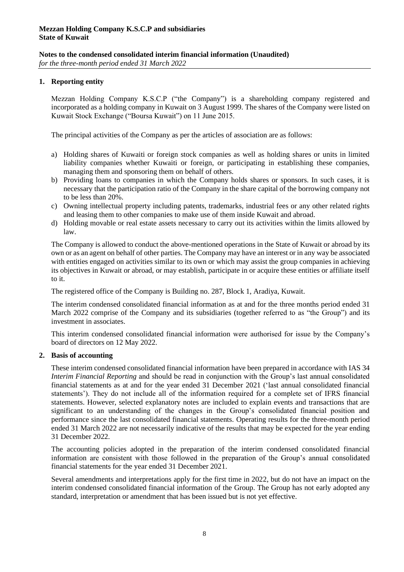*for the three-month period ended 31 March 2022*

#### **1. Reporting entity**

Mezzan Holding Company K.S.C.P ("the Company") is a shareholding company registered and incorporated as a holding company in Kuwait on 3 August 1999. The shares of the Company were listed on Kuwait Stock Exchange ("Boursa Kuwait") on 11 June 2015.

The principal activities of the Company as per the articles of association are as follows:

- a) Holding shares of Kuwaiti or foreign stock companies as well as holding shares or units in limited liability companies whether Kuwaiti or foreign, or participating in establishing these companies, managing them and sponsoring them on behalf of others.
- b) Providing loans to companies in which the Company holds shares or sponsors. In such cases, it is necessary that the participation ratio of the Company in the share capital of the borrowing company not to be less than 20%.
- c) Owning intellectual property including patents, trademarks, industrial fees or any other related rights and leasing them to other companies to make use of them inside Kuwait and abroad.
- d) Holding movable or real estate assets necessary to carry out its activities within the limits allowed by law.

The Company is allowed to conduct the above-mentioned operations in the State of Kuwait or abroad by its own or as an agent on behalf of other parties. The Company may have an interest or in any way be associated with entities engaged on activities similar to its own or which may assist the group companies in achieving its objectives in Kuwait or abroad, or may establish, participate in or acquire these entities or affiliate itself to it.

The registered office of the Company is Building no. 287, Block 1, Aradiya, Kuwait.

The interim condensed consolidated financial information as at and for the three months period ended 31 March 2022 comprise of the Company and its subsidiaries (together referred to as "the Group") and its investment in associates.

This interim condensed consolidated financial information were authorised for issue by the Company's board of directors on 12 May 2022.

#### **2. Basis of accounting**

These interim condensed consolidated financial information have been prepared in accordance with IAS 34 *Interim Financial Reporting* and should be read in conjunction with the Group's last annual consolidated financial statements as at and for the year ended 31 December 2021 ('last annual consolidated financial statements'). They do not include all of the information required for a complete set of IFRS financial statements. However, selected explanatory notes are included to explain events and transactions that are significant to an understanding of the changes in the Group's consolidated financial position and performance since the last consolidated financial statements. Operating results for the three-month period ended 31 March 2022 are not necessarily indicative of the results that may be expected for the year ending 31 December 2022.

The accounting policies adopted in the preparation of the interim condensed consolidated financial information are consistent with those followed in the preparation of the Group's annual consolidated financial statements for the year ended 31 December 2021.

Several amendments and interpretations apply for the first time in 2022, but do not have an impact on the interim condensed consolidated financial information of the Group. The Group has not early adopted any standard, interpretation or amendment that has been issued but is not yet effective.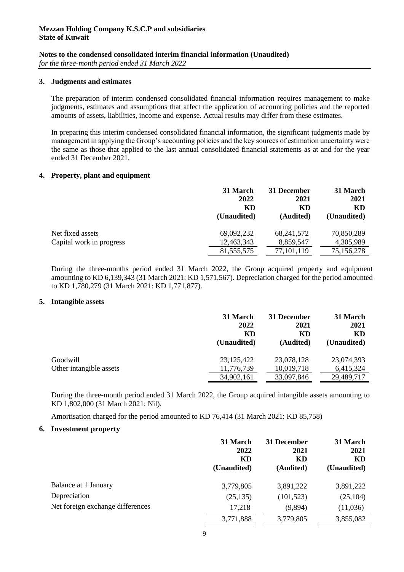*for the three-month period ended 31 March 2022*

#### **3. Judgments and estimates**

The preparation of interim condensed consolidated financial information requires management to make judgments, estimates and assumptions that affect the application of accounting policies and the reported amounts of assets, liabilities, income and expense. Actual results may differ from these estimates.

In preparing this interim condensed consolidated financial information, the significant judgments made by management in applying the Group's accounting policies and the key sources of estimation uncertainty were the same as those that applied to the last annual consolidated financial statements as at and for the year ended 31 December 2021.

#### **4. Property, plant and equipment**

|                          | 31 March    | 31 December  | 31 March    |
|--------------------------|-------------|--------------|-------------|
|                          | 2022        | 2021         | 2021        |
|                          | KD          | KD           | KD          |
|                          | (Unaudited) | (Audited)    | (Unaudited) |
| Net fixed assets         | 69,092,232  | 68, 241, 572 | 70,850,289  |
| Capital work in progress | 12,463,343  | 8,859,547    | 4,305,989   |
|                          | 81,555,575  | 77,101,119   | 75,156,278  |

During the three-months period ended 31 March 2022, the Group acquired property and equipment amounting to KD 6,139,343 (31 March 2021: KD 1,571,567). Depreciation charged for the period amounted to KD 1,780,279 (31 March 2021: KD 1,771,877).

#### **5. Intangible assets**

|                         | 31 March     | 31 December | 31 March    |
|-------------------------|--------------|-------------|-------------|
|                         | 2022         | 2021        | 2021        |
|                         | KD           | KD          | KD          |
|                         | (Unaudited)  | (Audited)   | (Unaudited) |
| Goodwill                | 23, 125, 422 | 23,078,128  | 23,074,393  |
| Other intangible assets | 11,776,739   | 10,019,718  | 6,415,324   |
|                         | 34,902,161   | 33,097,846  | 29,489,717  |

During the three-month period ended 31 March 2022, the Group acquired intangible assets amounting to KD 1,802,000 (31 March 2021: Nil).

Amortisation charged for the period amounted to KD 76,414 (31 March 2021: KD 85,758)

#### **6. Investment property**

|                                  | 31 March<br>2022<br>KD<br>(Unaudited) | 31 December<br>2021<br>KD<br>(Audited) | 31 March<br>2021<br>KD<br>(Unaudited) |
|----------------------------------|---------------------------------------|----------------------------------------|---------------------------------------|
| Balance at 1 January             | 3,779,805                             | 3,891,222                              | 3,891,222                             |
| Depreciation                     | (25, 135)                             | (101, 523)                             | (25, 104)                             |
| Net foreign exchange differences | 17,218                                | (9,894)                                | (11,036)                              |
|                                  | 3,771,888                             | 3,779,805                              | 3,855,082                             |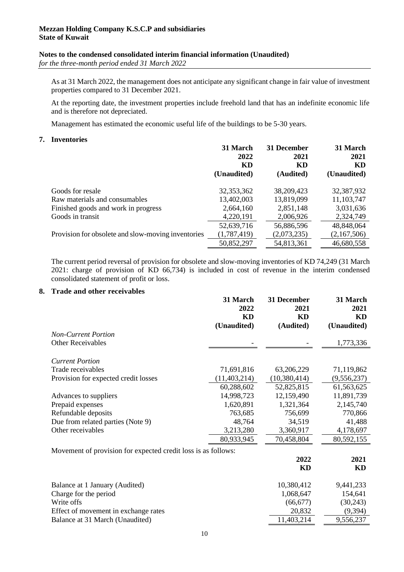#### **Notes to the condensed consolidated interim financial information (Unaudited)** *for the three-month period ended 31 March 2022*

As at 31 March 2022, the management does not anticipate any significant change in fair value of investment properties compared to 31 December 2021.

At the reporting date, the investment properties include freehold land that has an indefinite economic life and is therefore not depreciated.

Management has estimated the economic useful life of the buildings to be 5-30 years.

#### **7. Inventories**

|                                                    | 31 March<br>2022<br>KD | 31 December<br>2021<br>KD | 31 March<br>2021<br>KD |
|----------------------------------------------------|------------------------|---------------------------|------------------------|
|                                                    | (Unaudited)            | (Audited)                 | (Unaudited)            |
| Goods for resale                                   | 32, 353, 362           | 38,209,423                | 32,387,932             |
| Raw materials and consumables                      | 13,402,003             | 13,819,099                | 11,103,747             |
| Finished goods and work in progress                | 2,664,160              | 2,851,148                 | 3,031,636              |
| Goods in transit                                   | 4,220,191              | 2,006,926                 | 2,324,749              |
|                                                    | 52,639,716             | 56,886,596                | 48,848,064             |
| Provision for obsolete and slow-moving inventories | (1,787,419)            | (2,073,235)               | (2,167,506)            |
|                                                    | 50,852,297             | 54,813,361                | 46,680,558             |

The current period reversal of provision for obsolete and slow-moving inventories of KD 74,249 (31 March 2021: charge of provision of KD 66,734) is included in cost of revenue in the interim condensed consolidated statement of profit or loss.

#### **8. Trade and other receivables**

|                                                               | 31 March<br>2022 | 31 December<br>2021 | 31 March<br>2021 |
|---------------------------------------------------------------|------------------|---------------------|------------------|
|                                                               | KD               | KD                  | KD               |
|                                                               | (Unaudited)      | (Audited)           | (Unaudited)      |
| <b>Non-Current Portion</b>                                    |                  |                     |                  |
| <b>Other Receivables</b>                                      |                  |                     | 1,773,336        |
| <b>Current Portion</b>                                        |                  |                     |                  |
| Trade receivables                                             | 71,691,816       | 63,206,229          | 71,119,862       |
| Provision for expected credit losses                          | (11, 403, 214)   | (10, 380, 414)      | (9,556,237)      |
|                                                               | 60,288,602       | 52,825,815          | 61,563,625       |
| Advances to suppliers                                         | 14,998,723       | 12,159,490          | 11,891,739       |
| Prepaid expenses                                              | 1,620,891        | 1,321,364           | 2,145,740        |
| Refundable deposits                                           | 763,685          | 756,699             | 770,866          |
| Due from related parties (Note 9)                             | 48,764           | 34,519              | 41,488           |
| Other receivables                                             | 3,213,280        | 3,360,917           | 4,178,697        |
|                                                               | 80,933,945       | 70,458,804          | 80,592,155       |
| Movement of provision for expected credit loss is as follows: |                  |                     |                  |
|                                                               |                  | 2022                | 2021             |
|                                                               |                  | KD                  | KD               |
| Balance at 1 January (Audited)                                |                  | 10,380,412          | 9,441,233        |
| Charge for the period                                         |                  | 1,068,647           | 154,641          |
| Write offs                                                    |                  | (66, 677)           | (30,243)         |
| Effect of movement in exchange rates                          |                  | 20,832              | (9, 394)         |
| Balance at 31 March (Unaudited)                               |                  | 11,403,214          | 9,556,237        |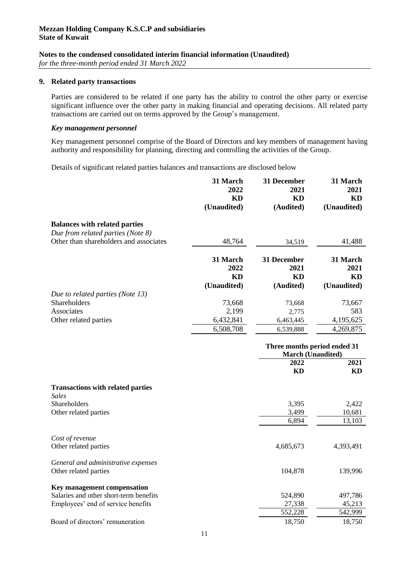*for the three-month period ended 31 March 2022*

#### **9. Related party transactions**

Parties are considered to be related if one party has the ability to control the other party or exercise significant influence over the other party in making financial and operating decisions. All related party transactions are carried out on terms approved by the Group's management.

#### *Key management personnel*

Key management personnel comprise of the Board of Directors and key members of management having authority and responsibility for planning, directing and controlling the activities of the Group.

Details of significant related parties balances and transactions are disclosed below

|                                                                             | 31 March<br>2022<br>KD<br>(Unaudited) | 31 December<br>2021<br>KD<br>(Audited) | 31 March<br>2021<br><b>KD</b><br>(Unaudited) |
|-----------------------------------------------------------------------------|---------------------------------------|----------------------------------------|----------------------------------------------|
| <b>Balances with related parties</b>                                        |                                       |                                        |                                              |
| Due from related parties (Note 8)<br>Other than shareholders and associates | 48,764                                | 34,519                                 | 41,488                                       |
|                                                                             | 31 March                              | 31 December                            | 31 March                                     |
|                                                                             | 2022                                  | 2021                                   | 2021                                         |
|                                                                             | <b>KD</b>                             | KD                                     | <b>KD</b>                                    |
|                                                                             | (Unaudited)                           | (Audited)                              | (Unaudited)                                  |
| Due to related parties (Note 13)                                            |                                       |                                        |                                              |
| Shareholders<br>Associates                                                  | 73,668                                | 73,668                                 | 73,667<br>583                                |
| Other related parties                                                       | 2,199<br>6,432,841                    | 2,775<br>6,463,445                     | 4,195,625                                    |
|                                                                             | 6,508,708                             | 6,539,888                              | 4,269,875                                    |
|                                                                             |                                       | <b>March (Unaudited)</b><br>2022<br>KD | 2021<br>KD                                   |
| <b>Transactions with related parties</b>                                    |                                       |                                        |                                              |
| <b>Sales</b>                                                                |                                       |                                        |                                              |
| Shareholders                                                                |                                       | 3,395                                  | 2,422                                        |
| Other related parties                                                       |                                       | 3,499                                  | 10,681                                       |
|                                                                             |                                       | 6,894                                  | 13,103                                       |
| Cost of revenue                                                             |                                       |                                        |                                              |
| Other related parties                                                       |                                       | 4,685,673                              | 4,393,491                                    |
| General and administrative expenses                                         |                                       |                                        |                                              |
| Other related parties                                                       |                                       | 104,878                                | 139,996                                      |
| Key management compensation                                                 |                                       |                                        |                                              |
| Salaries and other short-term benefits                                      |                                       | 524,890                                | 497,786                                      |
| Employees' end of service benefits                                          |                                       | 27,338                                 | 45,213                                       |
|                                                                             |                                       | 552,228                                | 542,999                                      |
| Board of directors' remuneration                                            |                                       | 18,750                                 | 18,750                                       |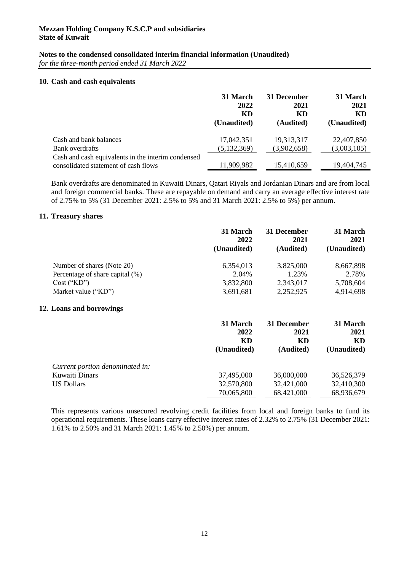#### **Notes to the condensed consolidated interim financial information (Unaudited)**

*for the three-month period ended 31 March 2022*

#### **10. Cash and cash equivalents**

|                                                                                            | 31 March      | 31 December | 31 March    |
|--------------------------------------------------------------------------------------------|---------------|-------------|-------------|
|                                                                                            | 2022          | 2021        | 2021        |
|                                                                                            | KD            | KD          | KD          |
|                                                                                            | (Unaudited)   | (Audited)   | (Unaudited) |
| Cash and bank balances                                                                     | 17,042,351    | 19,313,317  | 22,407,850  |
| Bank overdrafts                                                                            | (5, 132, 369) | (3,902,658) | (3,003,105) |
| Cash and cash equivalents in the interim condensed<br>consolidated statement of cash flows | 11,909,982    | 15,410,659  | 19,404,745  |

Bank overdrafts are denominated in Kuwaiti Dinars, Qatari Riyals and Jordanian Dinars and are from local and foreign commercial banks. These are repayable on demand and carry an average effective interest rate of 2.75% to 5% (31 December 2021: 2.5% to 5% and 31 March 2021: 2.5% to 5%) per annum.

#### **11. Treasury shares**

|                                 | 31 March<br>2022<br>(Unaudited) | 31 December<br>2021<br>(Audited) | 31 March<br>2021<br>(Unaudited) |
|---------------------------------|---------------------------------|----------------------------------|---------------------------------|
| Number of shares (Note 20)      | 6,354,013                       | 3,825,000                        | 8,667,898                       |
| Percentage of share capital (%) | 2.04%                           | 1.23%                            | 2.78%                           |
| $Cost$ ("KD")                   | 3,832,800                       | 2,343,017                        | 5,708,604                       |
| Market value ("KD")             | 3,691,681                       | 2,252,925                        | 4,914,698                       |
| 12. Loans and borrowings        |                                 |                                  |                                 |
|                                 | 31 March<br>2022                | 31 December<br>2021              | 31 March<br>2021                |
|                                 | KD                              | KD                               | KD                              |
|                                 | (Unaudited)                     | (Audited)                        | (Unaudited)                     |
| Current portion denominated in: |                                 |                                  |                                 |
| <b>Kuwaiti Dinars</b>           | 37,495,000                      | 36,000,000                       | 36,526,379                      |
| <b>US Dollars</b>               | 32,570,800                      | 32,421,000                       | 32,410,300                      |
|                                 | 70,065,800                      | 68,421,000                       | 68,936,679                      |

This represents various unsecured revolving credit facilities from local and foreign banks to fund its operational requirements. These loans carry effective interest rates of 2.32% to 2.75% (31 December 2021: 1.61% to 2.50% and 31 March 2021: 1.45% to 2.50%) per annum.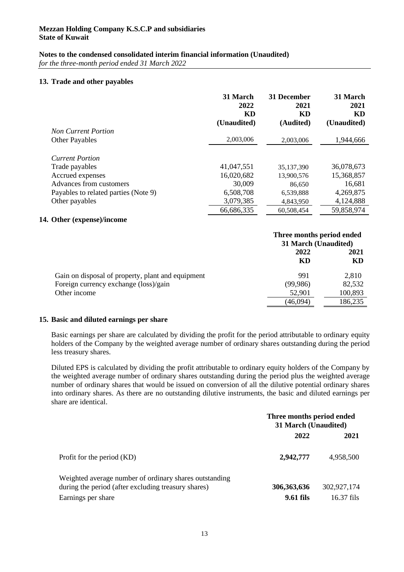#### **Notes to the condensed consolidated interim financial information (Unaudited)**

*for the three-month period ended 31 March 2022*

#### **13. Trade and other payables**

|                                          | 31 March<br>2022<br>KD<br>(Unaudited) | 31 December<br>2021<br>KD<br>(Audited) | 31 March<br>2021<br>KD<br>(Unaudited) |
|------------------------------------------|---------------------------------------|----------------------------------------|---------------------------------------|
| <b>Non Current Portion</b>               |                                       |                                        |                                       |
| <b>Other Payables</b>                    | 2,003,006                             | 2,003,006                              | 1,944,666                             |
| <b>Current Portion</b><br>Trade payables | 41,047,551                            | 35,137,390                             | 36,078,673                            |
| Accrued expenses                         | 16,020,682                            | 13,900,576                             | 15,368,857                            |
| Advances from customers                  | 30,009                                | 86,650                                 | 16,681                                |
| Payables to related parties (Note 9)     | 6,508,708                             | 6,539,888                              | 4,269,875                             |
| Other payables                           | 3,079,385                             | 4,843,950                              | 4,124,888                             |
|                                          | 66,686,335                            | 60,508,454                             | 59,858,974                            |

#### **14. Other (expense)/income**

|                                                                                                            | Three months period ended<br>31 March (Unaudited) |                                       |  |
|------------------------------------------------------------------------------------------------------------|---------------------------------------------------|---------------------------------------|--|
|                                                                                                            | 2022<br>KD                                        | 2021<br>KD                            |  |
| Gain on disposal of property, plant and equipment<br>Foreign currency exchange (loss)/gain<br>Other income | 991<br>(99, 986)<br>52,901<br>(46,094)            | 2,810<br>82,532<br>100,893<br>186,235 |  |

#### **15. Basic and diluted earnings per share**

Basic earnings per share are calculated by dividing the profit for the period attributable to ordinary equity holders of the Company by the weighted average number of ordinary shares outstanding during the period less treasury shares.

Diluted EPS is calculated by dividing the profit attributable to ordinary equity holders of the Company by the weighted average number of ordinary shares outstanding during the period plus the weighted average number of ordinary shares that would be issued on conversion of all the dilutive potential ordinary shares into ordinary shares. As there are no outstanding dilutive instruments, the basic and diluted earnings per share are identical.

|                                                                                                               | Three months period ended<br>31 March (Unaudited) |              |  |
|---------------------------------------------------------------------------------------------------------------|---------------------------------------------------|--------------|--|
|                                                                                                               | 2022                                              | 2021         |  |
| Profit for the period (KD)                                                                                    | 2,942,777                                         | 4,958,500    |  |
| Weighted average number of ordinary shares outstanding<br>during the period (after excluding treasury shares) | 306, 363, 636                                     | 302,927,174  |  |
| Earnings per share                                                                                            | <b>9.61 fils</b>                                  | $16.37$ fils |  |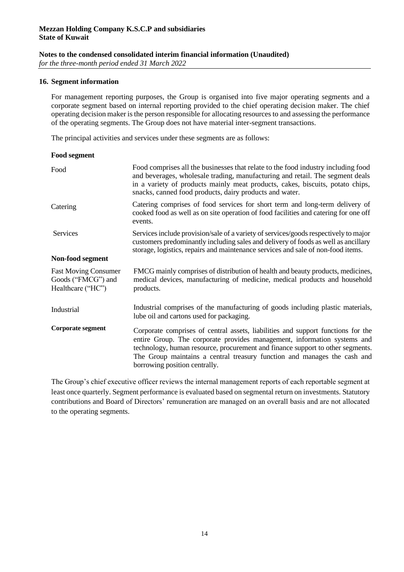*for the three-month period ended 31 March 2022*

#### **16. Segment information**

For management reporting purposes, the Group is organised into five major operating segments and a corporate segment based on internal reporting provided to the chief operating decision maker. The chief operating decision maker is the person responsible for allocating resources to and assessing the performance of the operating segments. The Group does not have material inter-segment transactions.

The principal activities and services under these segments are as follows:

| Food segment                                                           |                                                                                                                                                                                                                                                                                                                                                             |
|------------------------------------------------------------------------|-------------------------------------------------------------------------------------------------------------------------------------------------------------------------------------------------------------------------------------------------------------------------------------------------------------------------------------------------------------|
| Food                                                                   | Food comprises all the businesses that relate to the food industry including food<br>and beverages, wholesale trading, manufacturing and retail. The segment deals<br>in a variety of products mainly meat products, cakes, biscuits, potato chips,<br>snacks, canned food products, dairy products and water.                                              |
| Catering                                                               | Catering comprises of food services for short term and long-term delivery of<br>cooked food as well as on site operation of food facilities and catering for one off<br>events.                                                                                                                                                                             |
| Services                                                               | Services include provision/sale of a variety of services/goods respectively to major<br>customers predominantly including sales and delivery of foods as well as ancillary<br>storage, logistics, repairs and maintenance services and sale of non-food items.                                                                                              |
| Non-food segment                                                       |                                                                                                                                                                                                                                                                                                                                                             |
| <b>Fast Moving Consumer</b><br>Goods ("FMCG") and<br>Healthcare ("HC") | FMCG mainly comprises of distribution of health and beauty products, medicines,<br>medical devices, manufacturing of medicine, medical products and household<br>products.                                                                                                                                                                                  |
| Industrial                                                             | Industrial comprises of the manufacturing of goods including plastic materials,<br>lube oil and cartons used for packaging.                                                                                                                                                                                                                                 |
| Corporate segment                                                      | Corporate comprises of central assets, liabilities and support functions for the<br>entire Group. The corporate provides management, information systems and<br>technology, human resource, procurement and finance support to other segments.<br>The Group maintains a central treasury function and manages the cash and<br>borrowing position centrally. |

The Group's chief executive officer reviews the internal management reports of each reportable segment at least once quarterly. Segment performance is evaluated based on segmental return on investments. Statutory contributions and Board of Directors' remuneration are managed on an overall basis and are not allocated to the operating segments.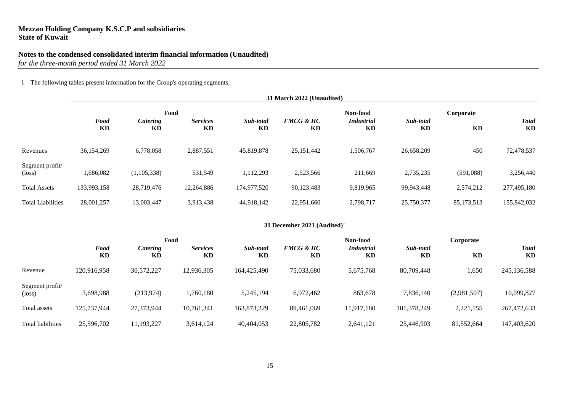## **Notes to the condensed consolidated interim financial information (Unaudited)**

*for the three-month period ended 31 March 2022*

*i.* The following tables present information for the Group's operating segments:

|                                    | 31 March 2022 (Unaudited) |                |                       |                        |                            |                                |                        |            |                    |
|------------------------------------|---------------------------|----------------|-----------------------|------------------------|----------------------------|--------------------------------|------------------------|------------|--------------------|
|                                    |                           | Food           |                       |                        |                            | Non-food<br>Corporate          |                        |            |                    |
|                                    | Food<br><b>KD</b>         | Catering<br>KD | <b>Services</b><br>KD | Sub-total<br><b>KD</b> | <b>FMCG &amp; HC</b><br>KD | <b>Industrial</b><br><b>KD</b> | Sub-total<br><b>KD</b> | <b>KD</b>  | <b>Total</b><br>KD |
| Revenues                           | 36,154,269                | 6,778,058      | 2,887,551             | 45,819,878             | 25, 151, 442               | 1,506,767                      | 26,658,209             | 450        | 72,478,537         |
| Segment profit/<br>$(\text{loss})$ | 1,686,082                 | (1,105,338)    | 531,549               | 1,112,293              | 2,523,566                  | 211,669                        | 2,735,235              | (591,088)  | 3,256,440          |
| <b>Total Assets</b>                | 133,993,158               | 28,719,476     | 12,264,886            | 174,977,520            | 90,123,483                 | 9,819,965                      | 99,943,448             | 2,574,212  | 277,495,180        |
| <b>Total Liabilities</b>           | 28,001,257                | 13,003,447     | 3,913,438             | 44,918,142             | 22,951,660                 | 2,798,717                      | 25,750,377             | 85,173,513 | 155,842,032        |

|                                    | 31 December 2021 (Audited) |                |                              |                 |                            |                         |                 |             |                    |
|------------------------------------|----------------------------|----------------|------------------------------|-----------------|----------------------------|-------------------------|-----------------|-------------|--------------------|
|                                    |                            |                | Food                         |                 |                            | Non-food                |                 |             |                    |
|                                    | Food<br>KD                 | Catering<br>KD | <b>Services</b><br><b>KD</b> | Sub-total<br>KD | <b>FMCG &amp; HC</b><br>KD | <b>Industrial</b><br>KD | Sub-total<br>KD | <b>KD</b>   | <b>Total</b><br>KD |
| Revenue                            | 120,916,958                | 30,572,227     | 12,936,305                   | 164,425,490     | 75,033,680                 | 5,675,768               | 80,709,448      | 1,650       | 245,136,588        |
| Segment profit/<br>$(\text{loss})$ | 3,698,988                  | (213,974)      | 1,760,180                    | 5,245,194       | 6,972,462                  | 863,678                 | 7,836,140       | (2,981,507) | 10,099,827         |
| Total assets                       | 125,737,944                | 27,373,944     | 10,761,341                   | 163,873,229     | 89,461,069                 | 11,917,180              | 101,378,249     | 2,221,155   | 267,472,633        |
| Total liabilities                  | 25,596,702                 | 11,193,227     | 3,614,124                    | 40,404,053      | 22,805,782                 | 2,641,121               | 25,446,903      | 81,552,664  | 147,403,620        |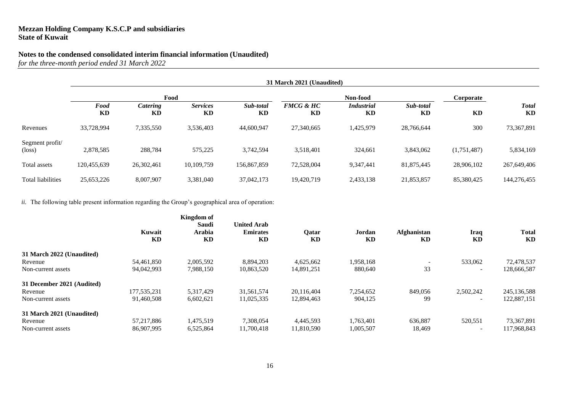#### **Notes to the condensed consolidated interim financial information (Unaudited)**

*for the three-month period ended 31 March 2022*

|                                    | 31 March 2021 (Unaudited) |                       |                       |                 |                            |                                |                        |             |                           |
|------------------------------------|---------------------------|-----------------------|-----------------------|-----------------|----------------------------|--------------------------------|------------------------|-------------|---------------------------|
|                                    |                           | Food                  |                       |                 |                            | Non-food                       |                        | Corporate   |                           |
|                                    | Food<br><b>KD</b>         | Catering<br><b>KD</b> | <b>Services</b><br>KD | Sub-total<br>KD | <b>FMCG &amp; HC</b><br>KD | <b>Industrial</b><br><b>KD</b> | Sub-total<br><b>KD</b> | <b>KD</b>   | <b>Total</b><br><b>KD</b> |
| Revenues                           | 33,728,994                | 7,335,550             | 3,536,403             | 44,600,947      | 27,340,665                 | 1,425,979                      | 28,766,644             | 300         | 73,367,891                |
| Segment profit/<br>$(\text{loss})$ | 2,878,585                 | 288,784               | 575,225               | 3,742,594       | 3,518,401                  | 324,661                        | 3,843,062              | (1,751,487) | 5,834,169                 |
| Total assets                       | 120,455,639               | 26,302,461            | 10,109,759            | 156,867,859     | 72,528,004                 | 9,347,441                      | 81,875,445             | 28,906,102  | 267,649,406               |
| Total liabilities                  | 25,653,226                | 8,007,907             | 3,381,040             | 37,042,173      | 19,420,719                 | 2,433,138                      | 21,853,857             | 85,380,425  | 144,276,455               |

*ii.* The following table present information regarding the Group's geographical area of operation:

|                            | Kuwait<br>KD | Kingdom of<br><b>Saudi</b><br>Arabia<br>KD | <b>United Arab</b><br><b>Emirates</b><br>KD | Qatar<br><b>KD</b> | Jordan<br><b>KD</b> | <b>Afghanistan</b><br><b>KD</b> | Iraq<br>KD               | <b>Total</b><br>KD |
|----------------------------|--------------|--------------------------------------------|---------------------------------------------|--------------------|---------------------|---------------------------------|--------------------------|--------------------|
| 31 March 2022 (Unaudited)  |              |                                            |                                             |                    |                     |                                 |                          |                    |
| Revenue                    | 54,461,850   | 2,005,592                                  | 8,894,203                                   | 4,625,662          | 1,958,168           |                                 | 533,062                  | 72,478,537         |
| Non-current assets         | 94,042,993   | 7,988,150                                  | 10,863,520                                  | 14,891,251         | 880,640             | 33                              |                          | 128,666,587        |
| 31 December 2021 (Audited) |              |                                            |                                             |                    |                     |                                 |                          |                    |
| Revenue                    | 177,535,231  | 5.317.429                                  | 31,561,574                                  | 20.116.404         | 7,254,652           | 849,056                         | 2,502,242                | 245,136,588        |
| Non-current assets         | 91,460,508   | 6,602,621                                  | 11,025,335                                  | 12,894,463         | 904,125             | 99                              |                          | 122,887,151        |
| 31 March 2021 (Unaudited)  |              |                                            |                                             |                    |                     |                                 |                          |                    |
| Revenue                    | 57,217,886   | 1,475,519                                  | 7.308.054                                   | 4,445,593          | 1,763,401           | 636,887                         | 520,551                  | 73,367,891         |
| Non-current assets         | 86,907,995   | 6,525,864                                  | 11.700.418                                  | 11,810,590         | 1,005,507           | 18,469                          | $\overline{\phantom{a}}$ | 117.968.843        |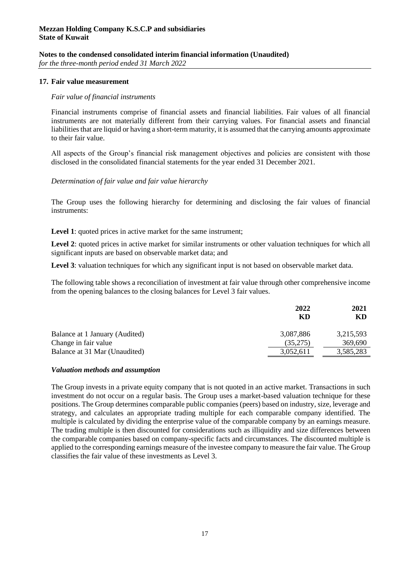*for the three-month period ended 31 March 2022*

#### **17. Fair value measurement**

#### *Fair value of financial instruments*

Financial instruments comprise of financial assets and financial liabilities. Fair values of all financial instruments are not materially different from their carrying values. For financial assets and financial liabilities that are liquid or having a short-term maturity, it is assumed that the carrying amounts approximate to their fair value.

All aspects of the Group's financial risk management objectives and policies are consistent with those disclosed in the consolidated financial statements for the year ended 31 December 2021.

#### *Determination of fair value and fair value hierarchy*

The Group uses the following hierarchy for determining and disclosing the fair values of financial instruments:

Level 1: quoted prices in active market for the same instrument;

**Level 2**: quoted prices in active market for similar instruments or other valuation techniques for which all significant inputs are based on observable market data; and

**Level 3**: valuation techniques for which any significant input is not based on observable market data.

The following table shows a reconciliation of investment at fair value through other comprehensive income from the opening balances to the closing balances for Level 3 fair values.

|                                | 2022<br>KD | 2021<br>KD |
|--------------------------------|------------|------------|
| Balance at 1 January (Audited) | 3,087,886  | 3,215,593  |
| Change in fair value           | (35,275)   | 369,690    |
| Balance at 31 Mar (Unaudited)  | 3,052,611  | 3,585,283  |

#### *Valuation methods and assumption*

The Group invests in a private equity company that is not quoted in an active market. Transactions in such investment do not occur on a regular basis. The Group uses a market-based valuation technique for these positions. The Group determines comparable public companies (peers) based on industry, size, leverage and strategy, and calculates an appropriate trading multiple for each comparable company identified. The multiple is calculated by dividing the enterprise value of the comparable company by an earnings measure. The trading multiple is then discounted for considerations such as illiquidity and size differences between the comparable companies based on company-specific facts and circumstances. The discounted multiple is applied to the corresponding earnings measure of the investee company to measure the fair value. The Group classifies the fair value of these investments as Level 3.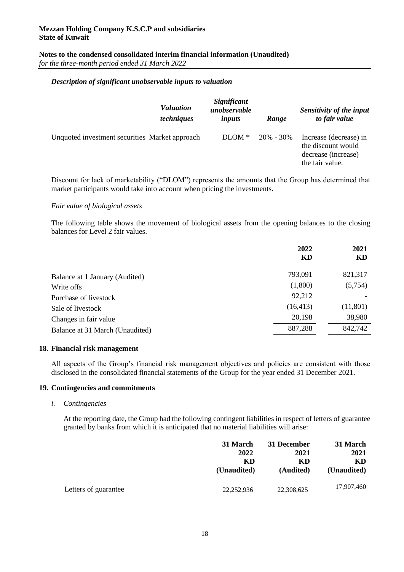*for the three-month period ended 31 March 2022*

#### *Description of significant unobservable inputs to valuation*

|                                                | <i><b>Valuation</b></i><br>techniques | Significant<br>unobservable<br>inputs | Range         | Sensitivity of the input<br>to fair value                                              |
|------------------------------------------------|---------------------------------------|---------------------------------------|---------------|----------------------------------------------------------------------------------------|
| Unquoted investment securities Market approach |                                       | $DIOM*$                               | $20\% - 30\%$ | Increase (decrease) in<br>the discount would<br>decrease (increase)<br>the fair value. |

Discount for lack of marketability ("DLOM") represents the amounts that the Group has determined that market participants would take into account when pricing the investments.

#### *Fair value of biological assets*

The following table shows the movement of biological assets from the opening balances to the closing balances for Level 2 fair values.

|                                 | 2022<br>KD | 2021<br>KD |
|---------------------------------|------------|------------|
| Balance at 1 January (Audited)  | 793,091    | 821,317    |
| Write offs                      | (1,800)    | (5,754)    |
| Purchase of livestock           | 92,212     |            |
| Sale of livestock               | (16, 413)  | (11,801)   |
| Changes in fair value           | 20,198     | 38,980     |
| Balance at 31 March (Unaudited) | 887,288    | 842,742    |
|                                 |            |            |

#### **18. Financial risk management**

All aspects of the Group's financial risk management objectives and policies are consistent with those disclosed in the consolidated financial statements of the Group for the year ended 31 December 2021.

#### **19. Contingencies and commitments**

#### *i. Contingencies*

At the reporting date, the Group had the following contingent liabilities in respect of letters of guarantee granted by banks from which it is anticipated that no material liabilities will arise:

|                      | 31 March    | 31 December | 31 March    |
|----------------------|-------------|-------------|-------------|
|                      | 2022        | 2021        | 2021        |
|                      | KD          | KD          | KD          |
|                      | (Unaudited) | (Audited)   | (Unaudited) |
| Letters of guarantee | 22,252,936  | 22,308,625  | 17,907,460  |